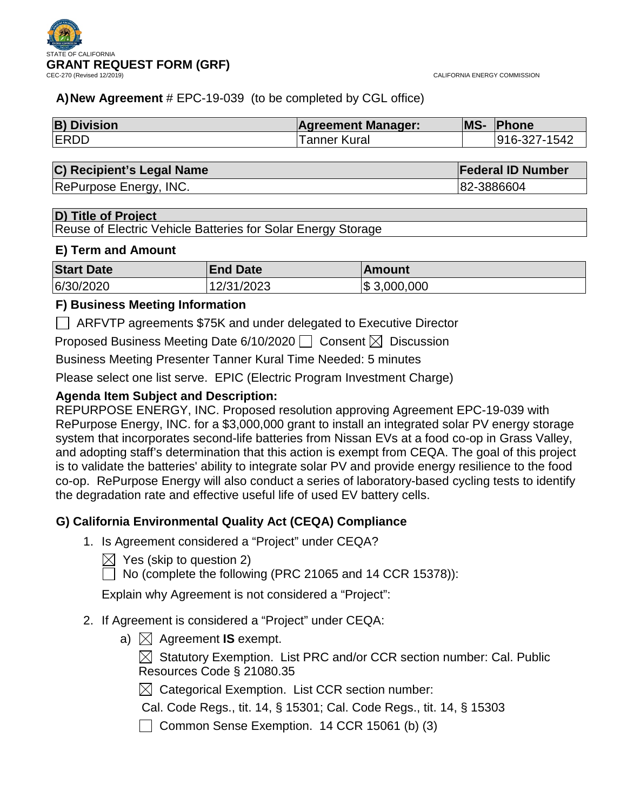

## **A)New Agreement** # EPC-19-039 (to be completed by CGL office)

| <b>B) Division</b> | <b>Agreement Manager:</b> | <b>MS-</b> | Phone        |
|--------------------|---------------------------|------------|--------------|
| <b>ERDD</b>        | <sup>r</sup> anner Kural  |            | 916-327-1542 |

| C) Recipient's Legal Name | <b>Federal ID Number</b> |
|---------------------------|--------------------------|
|---------------------------|--------------------------|

RePurpose Energy, INC. **82-3886604** 

## **D) Title of Project**

Reuse of Electric Vehicle Batteries for Solar Energy Storage

## **E) Term and Amount**

| <b>Start Date</b> | <b>End Date</b> | 'Amount         |
|-------------------|-----------------|-----------------|
| 6/30/2020         | 12/31/2023      | $\$\,3,000,000$ |

## **F) Business Meeting Information**

ARFVTP agreements \$75K and under delegated to Executive Director

Proposed Business Meeting Date 6/10/2020  $\Box$  Consent  $\boxtimes$  Discussion

Business Meeting Presenter Tanner Kural Time Needed: 5 minutes

Please select one list serve. EPIC (Electric Program Investment Charge)

## **Agenda Item Subject and Description:**

REPURPOSE ENERGY, INC. Proposed resolution approving Agreement EPC-19-039 with RePurpose Energy, INC. for a \$3,000,000 grant to install an integrated solar PV energy storage system that incorporates second-life batteries from Nissan EVs at a food co-op in Grass Valley, and adopting staff's determination that this action is exempt from CEQA. The goal of this project is to validate the batteries' ability to integrate solar PV and provide energy resilience to the food co-op. RePurpose Energy will also conduct a series of laboratory-based cycling tests to identify the degradation rate and effective useful life of used EV battery cells.

## **G) California Environmental Quality Act (CEQA) Compliance**

- 1. Is Agreement considered a "Project" under CEQA?
	- $\boxtimes$  Yes (skip to question 2)
	- $\Box$  No (complete the following (PRC 21065 and 14 CCR 15378)):

Explain why Agreement is not considered a "Project":

- 2. If Agreement is considered a "Project" under CEQA:
	- a)  $\boxtimes$  Agreement **IS** exempt.

 $\boxtimes$  Statutory Exemption. List PRC and/or CCR section number: Cal. Public Resources Code § 21080.35

 $\boxtimes$  Categorical Exemption. List CCR section number:

Cal. Code Regs., tit. 14, § 15301; Cal. Code Regs., tit. 14, § 15303

Common Sense Exemption. 14 CCR 15061 (b) (3)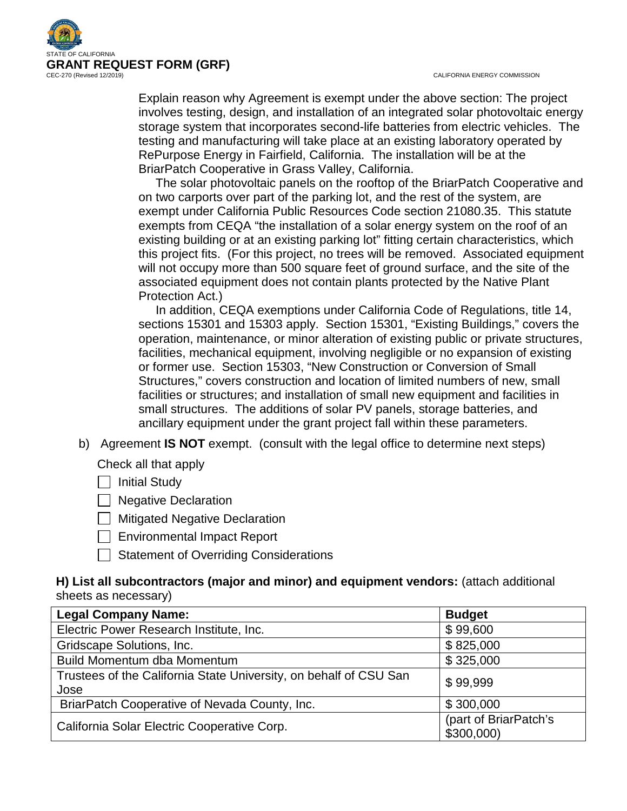CALIFORNIA ENERGY COMMISSION



Explain reason why Agreement is exempt under the above section: The project involves testing, design, and installation of an integrated solar photovoltaic energy storage system that incorporates second-life batteries from electric vehicles. The testing and manufacturing will take place at an existing laboratory operated by RePurpose Energy in Fairfield, California. The installation will be at the BriarPatch Cooperative in Grass Valley, California.

 The solar photovoltaic panels on the rooftop of the BriarPatch Cooperative and on two carports over part of the parking lot, and the rest of the system, are exempt under California Public Resources Code section 21080.35. This statute exempts from CEQA "the installation of a solar energy system on the roof of an existing building or at an existing parking lot" fitting certain characteristics, which this project fits. (For this project, no trees will be removed. Associated equipment will not occupy more than 500 square feet of ground surface, and the site of the associated equipment does not contain plants protected by the Native Plant Protection Act.)

 In addition, CEQA exemptions under California Code of Regulations, title 14, sections 15301 and 15303 apply. Section 15301, "Existing Buildings," covers the operation, maintenance, or minor alteration of existing public or private structures, facilities, mechanical equipment, involving negligible or no expansion of existing or former use. Section 15303, "New Construction or Conversion of Small Structures," covers construction and location of limited numbers of new, small facilities or structures; and installation of small new equipment and facilities in small structures. The additions of solar PV panels, storage batteries, and ancillary equipment under the grant project fall within these parameters.

b) Agreement **IS NOT** exempt. (consult with the legal office to determine next steps)

Check all that apply

 $\Box$  Initial Study

**Negative Declaration** 

- $\Box$  Mitigated Negative Declaration
- Environmental Impact Report
- Statement of Overriding Considerations

## **H) List all subcontractors (major and minor) and equipment vendors:** (attach additional sheets as necessary)

| <b>Legal Company Name:</b>                                                | <b>Budget</b>                      |
|---------------------------------------------------------------------------|------------------------------------|
| Electric Power Research Institute, Inc.                                   | \$99,600                           |
| Gridscape Solutions, Inc.                                                 | \$825,000                          |
| Build Momentum dba Momentum                                               | \$325,000                          |
| Trustees of the California State University, on behalf of CSU San<br>Jose | \$99,999                           |
| BriarPatch Cooperative of Nevada County, Inc.                             | \$300,000                          |
| California Solar Electric Cooperative Corp.                               | (part of BriarPatch's<br>\$300,000 |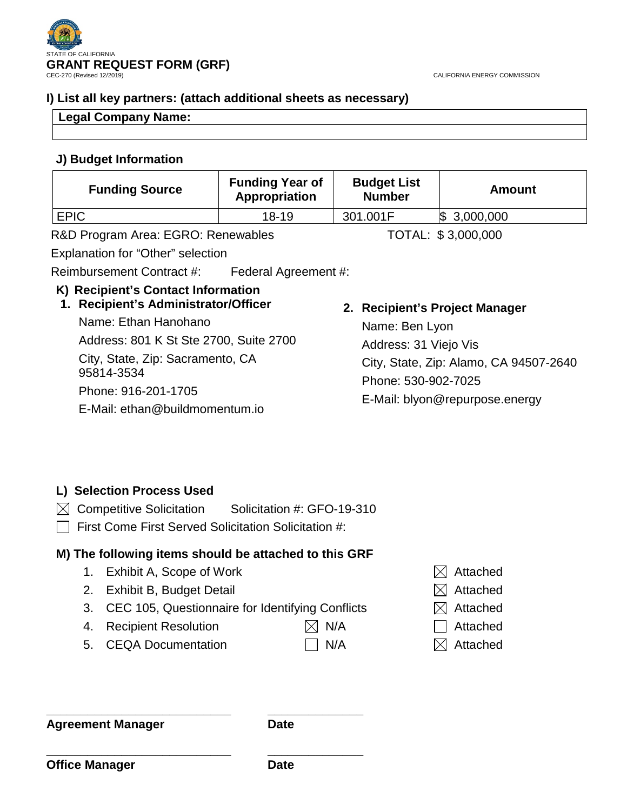

CALIFORNIA ENERGY COMMISSION

## **I) List all key partners: (attach additional sheets as necessary)**

## **Legal Company Name:**

## **J) Budget Information**

| <b>Funding Source</b>              | <b>Funding Year of</b><br>Appropriation | <b>Budget List</b><br><b>Number</b> | Amount             |
|------------------------------------|-----------------------------------------|-------------------------------------|--------------------|
| <b>EPIC</b>                        | $18-19$                                 | 301.001F                            | $\$\,3,000,000$    |
| R&D Program Area: EGRO: Renewables |                                         |                                     | TOTAL: \$3,000,000 |

Explanation for "Other" selection

Reimbursement Contract #: Federal Agreement #:

# **K) Recipient's Contact Information**

## **1. Recipient's Administrator/Officer**

Name: Ethan Hanohano Address: 801 K St Ste 2700, Suite 2700 City, State, Zip: Sacramento, CA 95814-3534 Phone: 916-201-1705 E-Mail: ethan@buildmomentum.io

# **2. Recipient's Project Manager**

Name: Ben Lyon Address: 31 Viejo Vis City, State, Zip: Alamo, CA 94507-2640 Phone: 530-902-7025 E-Mail: blyon@repurpose.energy

# **L) Selection Process Used**

- $\boxtimes$  Competitive Solicitation Solicitation #: GFO-19-310
- $\Box$  First Come First Served Solicitation Solicitation #:

# **M) The following items should be attached to this GRF**

- 1. Exhibit A, Scope of Work  $\boxtimes$  Attached
- 2. Exhibit B, Budget Detail  $\boxtimes$  Attached
- 3. CEC 105, Questionnaire for Identifying Conflicts  $\boxtimes$  Attached
- 4. Recipient Resolution  $\boxtimes$  N/A  $\Box$  Attached
- 5. CEQA Documentation  $\Box$  N/A  $\boxtimes$  Attached
- 
- 
- 
- -

**\_\_\_\_\_\_\_\_\_\_\_\_\_\_\_\_\_\_\_\_\_\_\_\_\_\_\_ \_\_\_\_\_\_\_\_\_\_\_\_\_\_ Agreement Manager Date**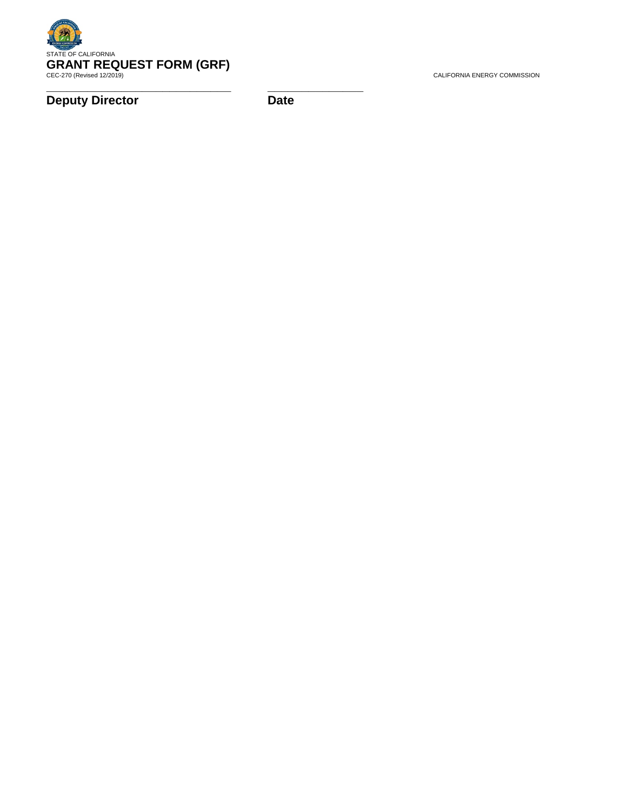

**Deputy Director Date**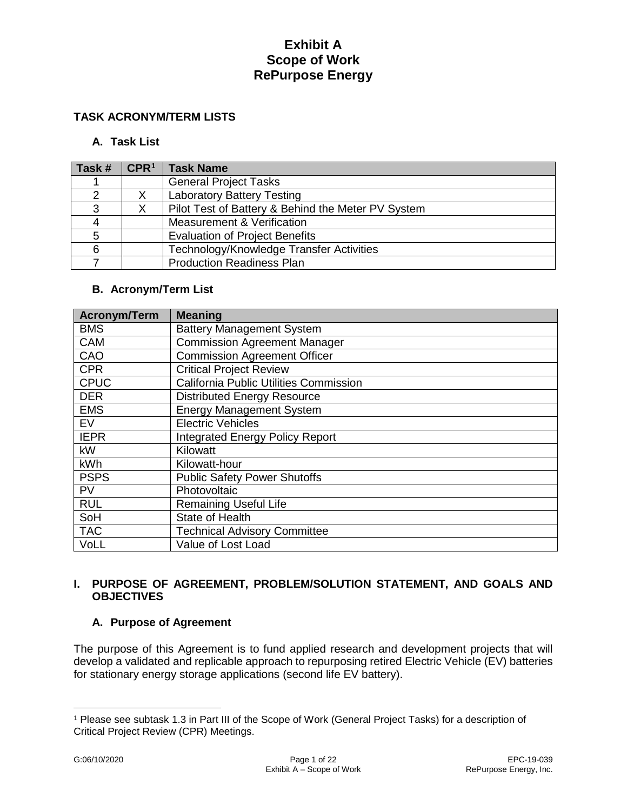### **TASK ACRONYM/TERM LISTS**

### **A. Task List**

| Task# | $\mathsf{CPR}^1$ | <b>Task Name</b>                                   |
|-------|------------------|----------------------------------------------------|
|       |                  | <b>General Project Tasks</b>                       |
|       |                  | <b>Laboratory Battery Testing</b>                  |
| 3     |                  | Pilot Test of Battery & Behind the Meter PV System |
|       |                  | Measurement & Verification                         |
| 5     |                  | <b>Evaluation of Project Benefits</b>              |
| 6     |                  | Technology/Knowledge Transfer Activities           |
|       |                  | <b>Production Readiness Plan</b>                   |

### **B. Acronym/Term List**

| <b>Acronym/Term</b> | <b>Meaning</b>                                |
|---------------------|-----------------------------------------------|
| <b>BMS</b>          | <b>Battery Management System</b>              |
| <b>CAM</b>          | <b>Commission Agreement Manager</b>           |
| CAO                 | <b>Commission Agreement Officer</b>           |
| <b>CPR</b>          | <b>Critical Project Review</b>                |
| <b>CPUC</b>         | <b>California Public Utilities Commission</b> |
| <b>DER</b>          | <b>Distributed Energy Resource</b>            |
| <b>EMS</b>          | <b>Energy Management System</b>               |
| EV                  | <b>Electric Vehicles</b>                      |
| <b>IEPR</b>         | <b>Integrated Energy Policy Report</b>        |
| kW                  | Kilowatt                                      |
| kWh                 | Kilowatt-hour                                 |
| <b>PSPS</b>         | <b>Public Safety Power Shutoffs</b>           |
| <b>PV</b>           | Photovoltaic                                  |
| <b>RUL</b>          | <b>Remaining Useful Life</b>                  |
| SoH                 | State of Health                               |
| <b>TAC</b>          | <b>Technical Advisory Committee</b>           |
| VoLL                | Value of Lost Load                            |

## **I. PURPOSE OF AGREEMENT, PROBLEM/SOLUTION STATEMENT, AND GOALS AND OBJECTIVES**

## **A. Purpose of Agreement**

The purpose of this Agreement is to fund applied research and development projects that will develop a validated and replicable approach to repurposing retired Electric Vehicle (EV) batteries for stationary energy storage applications (second life EV battery).

 $\overline{a}$ 

<span id="page-4-0"></span><sup>1</sup> Please see subtask 1.3 in Part III of the Scope of Work (General Project Tasks) for a description of Critical Project Review (CPR) Meetings.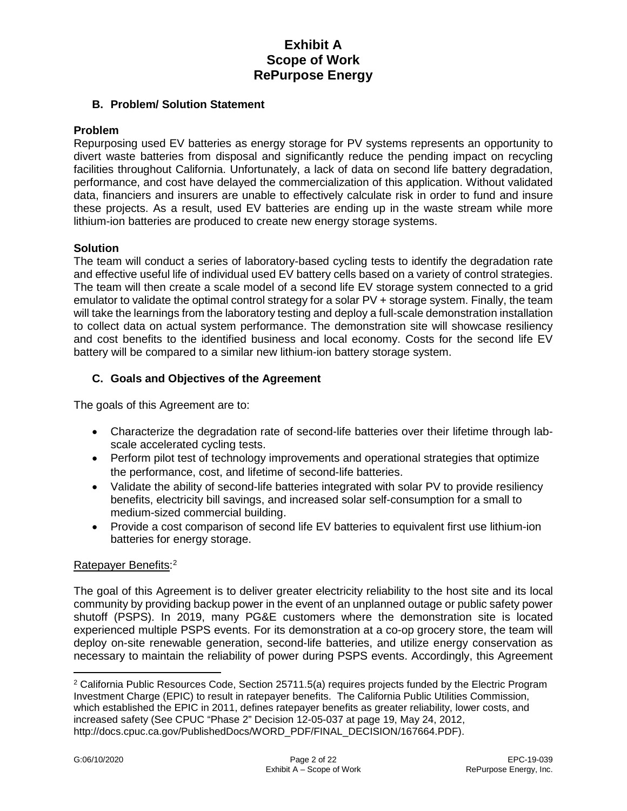### **B. Problem/ Solution Statement**

#### **Problem**

Repurposing used EV batteries as energy storage for PV systems represents an opportunity to divert waste batteries from disposal and significantly reduce the pending impact on recycling facilities throughout California. Unfortunately, a lack of data on second life battery degradation, performance, and cost have delayed the commercialization of this application. Without validated data, financiers and insurers are unable to effectively calculate risk in order to fund and insure these projects. As a result, used EV batteries are ending up in the waste stream while more lithium-ion batteries are produced to create new energy storage systems.

### **Solution**

The team will conduct a series of laboratory-based cycling tests to identify the degradation rate and effective useful life of individual used EV battery cells based on a variety of control strategies. The team will then create a scale model of a second life EV storage system connected to a grid emulator to validate the optimal control strategy for a solar PV + storage system. Finally, the team will take the learnings from the laboratory testing and deploy a full-scale demonstration installation to collect data on actual system performance. The demonstration site will showcase resiliency and cost benefits to the identified business and local economy. Costs for the second life EV battery will be compared to a similar new lithium-ion battery storage system.

### **C. Goals and Objectives of the Agreement**

The goals of this Agreement are to:

- Characterize the degradation rate of second-life batteries over their lifetime through labscale accelerated cycling tests.
- Perform pilot test of technology improvements and operational strategies that optimize the performance, cost, and lifetime of second-life batteries.
- Validate the ability of second-life batteries integrated with solar PV to provide resiliency benefits, electricity bill savings, and increased solar self-consumption for a small to medium-sized commercial building.
- Provide a cost comparison of second life EV batteries to equivalent first use lithium-ion batteries for energy storage.

## Ratepayer Benefits:<sup>[2](#page-5-0)</sup>

The goal of this Agreement is to deliver greater electricity reliability to the host site and its local community by providing backup power in the event of an unplanned outage or public safety power shutoff (PSPS). In 2019, many PG&E customers where the demonstration site is located experienced multiple PSPS events. For its demonstration at a co-op grocery store, the team will deploy on-site renewable generation, second-life batteries, and utilize energy conservation as necessary to maintain the reliability of power during PSPS events. Accordingly, this Agreement

 $\overline{a}$ 

<span id="page-5-0"></span><sup>2</sup> California Public Resources Code, Section 25711.5(a) requires projects funded by the Electric Program Investment Charge (EPIC) to result in ratepayer benefits. The California Public Utilities Commission, which established the EPIC in 2011, defines ratepayer benefits as greater reliability, lower costs, and increased safety (See CPUC "Phase 2" Decision 12-05-037 at page 19, May 24, 2012, http://docs.cpuc.ca.gov/PublishedDocs/WORD\_PDF/FINAL\_DECISION/167664.PDF).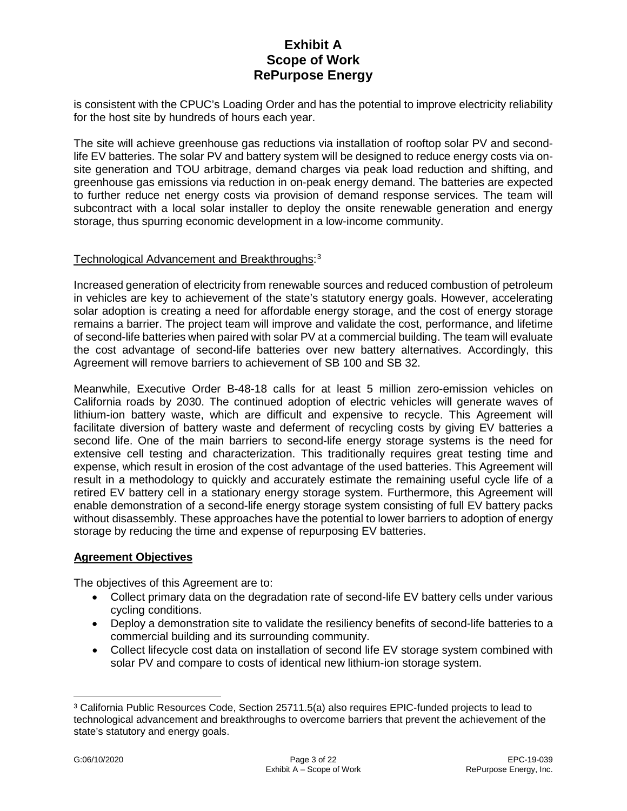is consistent with the CPUC's Loading Order and has the potential to improve electricity reliability for the host site by hundreds of hours each year.

The site will achieve greenhouse gas reductions via installation of rooftop solar PV and secondlife EV batteries. The solar PV and battery system will be designed to reduce energy costs via onsite generation and TOU arbitrage, demand charges via peak load reduction and shifting, and greenhouse gas emissions via reduction in on-peak energy demand. The batteries are expected to further reduce net energy costs via provision of demand response services. The team will subcontract with a local solar installer to deploy the onsite renewable generation and energy storage, thus spurring economic development in a low-income community.

## Technological Advancement and Breakthroughs: [3](#page-6-0)

Increased generation of electricity from renewable sources and reduced combustion of petroleum in vehicles are key to achievement of the state's statutory energy goals. However, accelerating solar adoption is creating a need for affordable energy storage, and the cost of energy storage remains a barrier. The project team will improve and validate the cost, performance, and lifetime of second-life batteries when paired with solar PV at a commercial building. The team will evaluate the cost advantage of second-life batteries over new battery alternatives. Accordingly, this Agreement will remove barriers to achievement of SB 100 and SB 32.

Meanwhile, Executive Order B-48-18 calls for at least 5 million zero-emission vehicles on California roads by 2030. The continued adoption of electric vehicles will generate waves of lithium-ion battery waste, which are difficult and expensive to recycle. This Agreement will facilitate diversion of battery waste and deferment of recycling costs by giving EV batteries a second life. One of the main barriers to second-life energy storage systems is the need for extensive cell testing and characterization. This traditionally requires great testing time and expense, which result in erosion of the cost advantage of the used batteries. This Agreement will result in a methodology to quickly and accurately estimate the remaining useful cycle life of a retired EV battery cell in a stationary energy storage system. Furthermore, this Agreement will enable demonstration of a second-life energy storage system consisting of full EV battery packs without disassembly. These approaches have the potential to lower barriers to adoption of energy storage by reducing the time and expense of repurposing EV batteries.

#### **Agreement Objectives**

The objectives of this Agreement are to:

- Collect primary data on the degradation rate of second-life EV battery cells under various cycling conditions.
- Deploy a demonstration site to validate the resiliency benefits of second-life batteries to a commercial building and its surrounding community.
- Collect lifecycle cost data on installation of second life EV storage system combined with solar PV and compare to costs of identical new lithium-ion storage system.

<span id="page-6-0"></span> $\overline{a}$ <sup>3</sup> California Public Resources Code, Section 25711.5(a) also requires EPIC-funded projects to lead to technological advancement and breakthroughs to overcome barriers that prevent the achievement of the state's statutory and energy goals.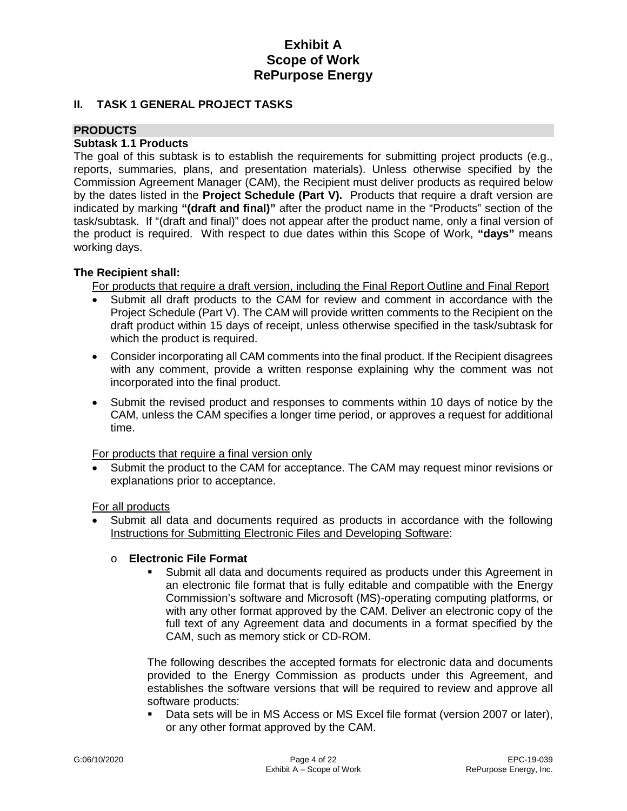### **II. TASK 1 GENERAL PROJECT TASKS**

## **PRODUCTS**

#### **Subtask 1.1 Products**

The goal of this subtask is to establish the requirements for submitting project products (e.g., reports, summaries, plans, and presentation materials). Unless otherwise specified by the Commission Agreement Manager (CAM), the Recipient must deliver products as required below by the dates listed in the **Project Schedule (Part V).** Products that require a draft version are indicated by marking **"(draft and final)"** after the product name in the "Products" section of the task/subtask. If "(draft and final)" does not appear after the product name, only a final version of the product is required. With respect to due dates within this Scope of Work, **"days"** means working days.

### **The Recipient shall:**

For products that require a draft version, including the Final Report Outline and Final Report

- Submit all draft products to the CAM for review and comment in accordance with the Project Schedule (Part V). The CAM will provide written comments to the Recipient on the draft product within 15 days of receipt, unless otherwise specified in the task/subtask for which the product is required.
- Consider incorporating all CAM comments into the final product. If the Recipient disagrees with any comment, provide a written response explaining why the comment was not incorporated into the final product.
- Submit the revised product and responses to comments within 10 days of notice by the CAM, unless the CAM specifies a longer time period, or approves a request for additional time.

For products that require a final version only

• Submit the product to the CAM for acceptance. The CAM may request minor revisions or explanations prior to acceptance.

For all products

• Submit all data and documents required as products in accordance with the following Instructions for Submitting Electronic Files and Developing Software:

#### o **Electronic File Format**

 Submit all data and documents required as products under this Agreement in an electronic file format that is fully editable and compatible with the Energy Commission's software and Microsoft (MS)-operating computing platforms, or with any other format approved by the CAM. Deliver an electronic copy of the full text of any Agreement data and documents in a format specified by the CAM, such as memory stick or CD-ROM.

The following describes the accepted formats for electronic data and documents provided to the Energy Commission as products under this Agreement, and establishes the software versions that will be required to review and approve all software products:

 Data sets will be in MS Access or MS Excel file format (version 2007 or later), or any other format approved by the CAM.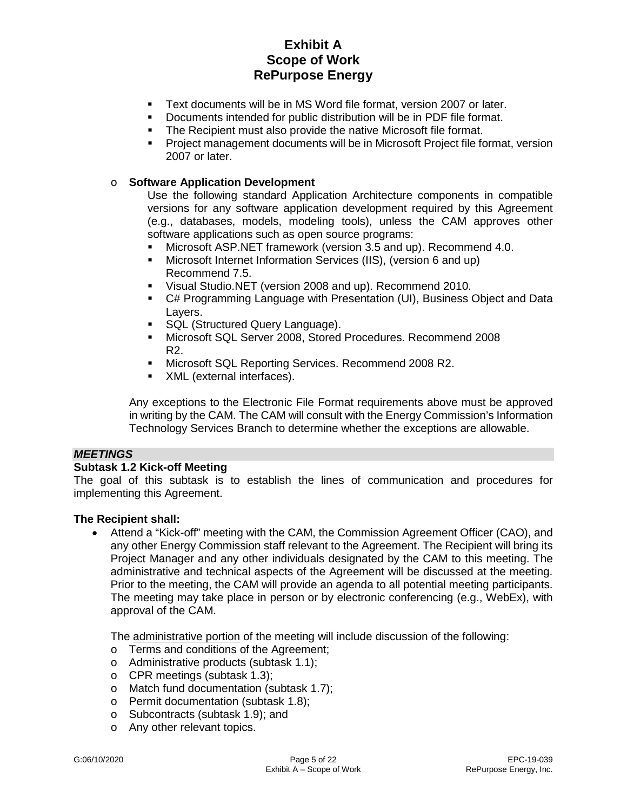- Text documents will be in MS Word file format, version 2007 or later.
- Documents intended for public distribution will be in PDF file format.
- The Recipient must also provide the native Microsoft file format.
- Project management documents will be in Microsoft Project file format, version 2007 or later.

#### o **Software Application Development**

Use the following standard Application Architecture components in compatible versions for any software application development required by this Agreement (e.g., databases, models, modeling tools), unless the CAM approves other software applications such as open source programs:

- Microsoft ASP.NET framework (version 3.5 and up). Recommend 4.0.
- Microsoft Internet Information Services (IIS), (version 6 and up) Recommend 7.5.
- Visual Studio.NET (version 2008 and up). Recommend 2010.
- C# Programming Language with Presentation (UI), Business Object and Data Layers.
- SQL (Structured Query Language).
- Microsoft SQL Server 2008, Stored Procedures. Recommend 2008 R2.
- **Microsoft SQL Reporting Services. Recommend 2008 R2.**
- XML (external interfaces).

Any exceptions to the Electronic File Format requirements above must be approved in writing by the CAM. The CAM will consult with the Energy Commission's Information Technology Services Branch to determine whether the exceptions are allowable.

#### *MEETINGS*

#### **Subtask 1.2 Kick-off Meeting**

The goal of this subtask is to establish the lines of communication and procedures for implementing this Agreement.

#### **The Recipient shall:**

• Attend a "Kick-off" meeting with the CAM, the Commission Agreement Officer (CAO), and any other Energy Commission staff relevant to the Agreement. The Recipient will bring its Project Manager and any other individuals designated by the CAM to this meeting. The administrative and technical aspects of the Agreement will be discussed at the meeting. Prior to the meeting, the CAM will provide an agenda to all potential meeting participants. The meeting may take place in person or by electronic conferencing (e.g., WebEx), with approval of the CAM.

The administrative portion of the meeting will include discussion of the following:

- o Terms and conditions of the Agreement;
- o Administrative products (subtask 1.1);
- o CPR meetings (subtask 1.3);
- o Match fund documentation (subtask 1.7);
- o Permit documentation (subtask 1.8);
- o Subcontracts (subtask 1.9); and
- o Any other relevant topics.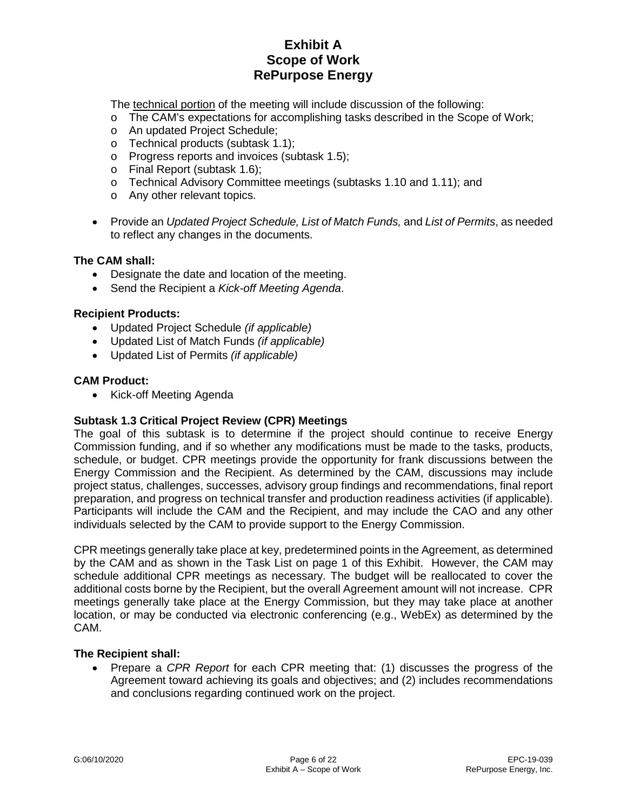The technical portion of the meeting will include discussion of the following:

o The CAM's expectations for accomplishing tasks described in the Scope of Work;

- o An updated Project Schedule;
- o Technical products (subtask 1.1);
- o Progress reports and invoices (subtask 1.5);
- o Final Report (subtask 1.6);
- o Technical Advisory Committee meetings (subtasks 1.10 and 1.11); and
- o Any other relevant topics.
- Provide an *Updated Project Schedule, List of Match Funds,* and *List of Permits*, as needed to reflect any changes in the documents.

#### **The CAM shall:**

- Designate the date and location of the meeting.
- Send the Recipient a *Kick-off Meeting Agenda*.

#### **Recipient Products:**

- Updated Project Schedule *(if applicable)*
- Updated List of Match Funds *(if applicable)*
- Updated List of Permits *(if applicable)*

### **CAM Product:**

• Kick-off Meeting Agenda

## **Subtask 1.3 Critical Project Review (CPR) Meetings**

The goal of this subtask is to determine if the project should continue to receive Energy Commission funding, and if so whether any modifications must be made to the tasks, products, schedule, or budget. CPR meetings provide the opportunity for frank discussions between the Energy Commission and the Recipient. As determined by the CAM, discussions may include project status, challenges, successes, advisory group findings and recommendations, final report preparation, and progress on technical transfer and production readiness activities (if applicable). Participants will include the CAM and the Recipient, and may include the CAO and any other individuals selected by the CAM to provide support to the Energy Commission.

CPR meetings generally take place at key, predetermined points in the Agreement, as determined by the CAM and as shown in the Task List on page 1 of this Exhibit. However, the CAM may schedule additional CPR meetings as necessary. The budget will be reallocated to cover the additional costs borne by the Recipient, but the overall Agreement amount will not increase. CPR meetings generally take place at the Energy Commission, but they may take place at another location, or may be conducted via electronic conferencing (e.g., WebEx) as determined by the CAM.

## **The Recipient shall:**

• Prepare a *CPR Report* for each CPR meeting that: (1) discusses the progress of the Agreement toward achieving its goals and objectives; and (2) includes recommendations and conclusions regarding continued work on the project.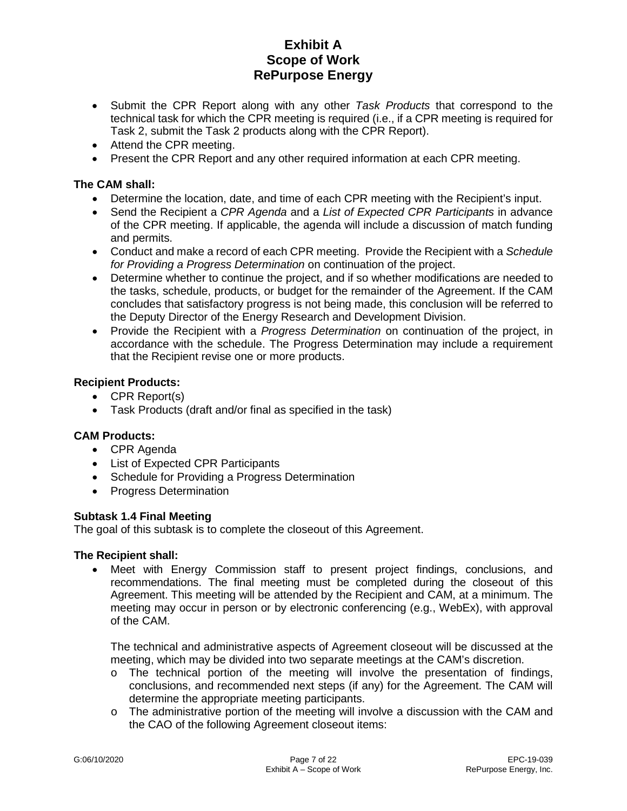- Submit the CPR Report along with any other *Task Products* that correspond to the technical task for which the CPR meeting is required (i.e., if a CPR meeting is required for Task 2, submit the Task 2 products along with the CPR Report).
- Attend the CPR meeting.
- Present the CPR Report and any other required information at each CPR meeting.

### **The CAM shall:**

- Determine the location, date, and time of each CPR meeting with the Recipient's input.
- Send the Recipient a *CPR Agenda* and a *List of Expected CPR Participants* in advance of the CPR meeting. If applicable, the agenda will include a discussion of match funding and permits.
- Conduct and make a record of each CPR meeting. Provide the Recipient with a *Schedule for Providing a Progress Determination* on continuation of the project.
- Determine whether to continue the project, and if so whether modifications are needed to the tasks, schedule, products, or budget for the remainder of the Agreement. If the CAM concludes that satisfactory progress is not being made, this conclusion will be referred to the Deputy Director of the Energy Research and Development Division.
- Provide the Recipient with a *Progress Determination* on continuation of the project, in accordance with the schedule. The Progress Determination may include a requirement that the Recipient revise one or more products.

### **Recipient Products:**

- CPR Report(s)
- Task Products (draft and/or final as specified in the task)

#### **CAM Products:**

- CPR Agenda
- List of Expected CPR Participants
- Schedule for Providing a Progress Determination
- Progress Determination

#### **Subtask 1.4 Final Meeting**

The goal of this subtask is to complete the closeout of this Agreement.

#### **The Recipient shall:**

• Meet with Energy Commission staff to present project findings, conclusions, and recommendations. The final meeting must be completed during the closeout of this Agreement. This meeting will be attended by the Recipient and CAM, at a minimum. The meeting may occur in person or by electronic conferencing (e.g., WebEx), with approval of the CAM.

The technical and administrative aspects of Agreement closeout will be discussed at the meeting, which may be divided into two separate meetings at the CAM's discretion.

- $\circ$  The technical portion of the meeting will involve the presentation of findings, conclusions, and recommended next steps (if any) for the Agreement. The CAM will determine the appropriate meeting participants.
- $\circ$  The administrative portion of the meeting will involve a discussion with the CAM and the CAO of the following Agreement closeout items: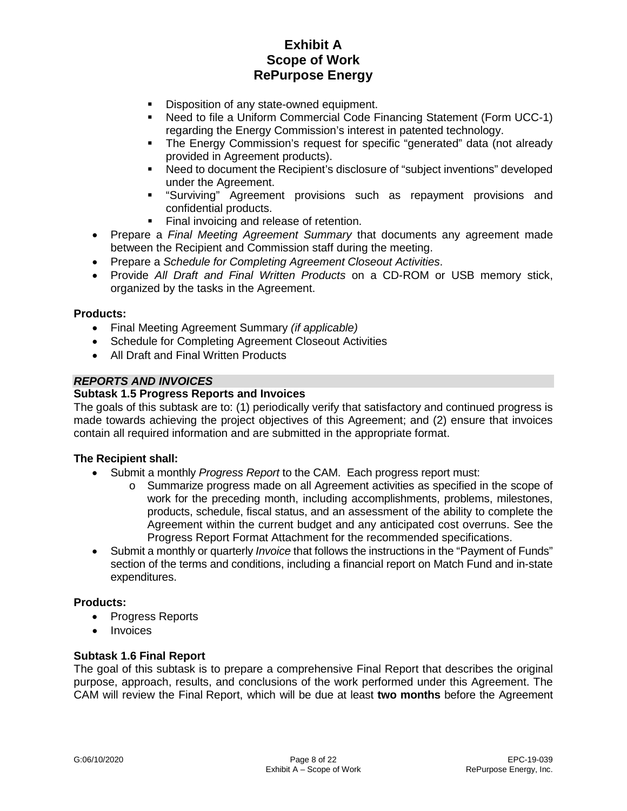- Disposition of any state-owned equipment.
- Need to file a Uniform Commercial Code Financing Statement (Form UCC-1) regarding the Energy Commission's interest in patented technology.
- The Energy Commission's request for specific "generated" data (not already provided in Agreement products).
- Need to document the Recipient's disclosure of "subject inventions" developed under the Agreement.
- "Surviving" Agreement provisions such as repayment provisions and confidential products.
- Final invoicing and release of retention.
- Prepare a *Final Meeting Agreement Summary* that documents any agreement made between the Recipient and Commission staff during the meeting.
- Prepare a *Schedule for Completing Agreement Closeout Activities*.
- Provide *All Draft and Final Written Products* on a CD-ROM or USB memory stick, organized by the tasks in the Agreement.

#### **Products:**

- Final Meeting Agreement Summary *(if applicable)*
- Schedule for Completing Agreement Closeout Activities
- All Draft and Final Written Products

#### *REPORTS AND INVOICES*

#### **Subtask 1.5 Progress Reports and Invoices**

The goals of this subtask are to: (1) periodically verify that satisfactory and continued progress is made towards achieving the project objectives of this Agreement; and (2) ensure that invoices contain all required information and are submitted in the appropriate format.

#### **The Recipient shall:**

- Submit a monthly *Progress Report* to the CAM. Each progress report must:
	- o Summarize progress made on all Agreement activities as specified in the scope of work for the preceding month, including accomplishments, problems, milestones, products, schedule, fiscal status, and an assessment of the ability to complete the Agreement within the current budget and any anticipated cost overruns. See the Progress Report Format Attachment for the recommended specifications.
- Submit a monthly or quarterly *Invoice* that follows the instructions in the "Payment of Funds" section of the terms and conditions, including a financial report on Match Fund and in-state expenditures.

#### **Products:**

- Progress Reports
- Invoices

#### **Subtask 1.6 Final Report**

The goal of this subtask is to prepare a comprehensive Final Report that describes the original purpose, approach, results, and conclusions of the work performed under this Agreement. The CAM will review the Final Report, which will be due at least **two months** before the Agreement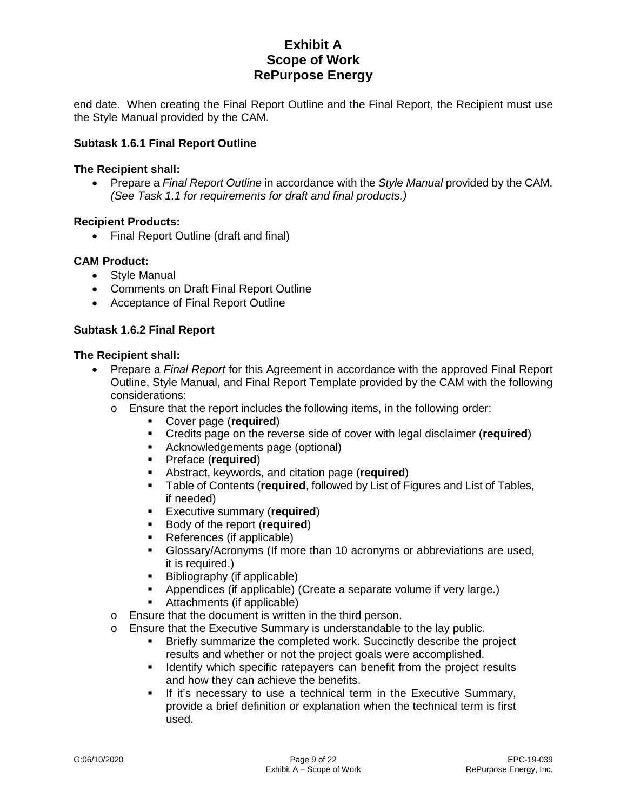end date. When creating the Final Report Outline and the Final Report, the Recipient must use the Style Manual provided by the CAM.

### **Subtask 1.6.1 Final Report Outline**

#### **The Recipient shall:**

• Prepare a *Final Report Outline* in accordance with the *Style Manual* provided by the CAM. *(See Task 1.1 for requirements for draft and final products.)*

#### **Recipient Products:**

• Final Report Outline (draft and final)

#### **CAM Product:**

- Style Manual
- Comments on Draft Final Report Outline
- Acceptance of Final Report Outline

### **Subtask 1.6.2 Final Report**

#### **The Recipient shall:**

- Prepare a *Final Report* for this Agreement in accordance with the approved Final Report Outline, Style Manual, and Final Report Template provided by the CAM with the following considerations:
	- o Ensure that the report includes the following items, in the following order:
		- **Cover page (required)**<br>**Credits page on the rev**
		- Credits page on the reverse side of cover with legal disclaimer (**required**)
		- **Acknowledgements page (optional)**
		- Preface (**required**)
		- Abstract, keywords, and citation page (**required**)
		- Table of Contents (**required**, followed by List of Figures and List of Tables, if needed)
		- **Executive summary (required)**<br>**Example 3 Finally Separate Secured** Paragonal Securiors
		- Body of the report (**required**)
		- References (if applicable)
		- Glossary/Acronyms (If more than 10 acronyms or abbreviations are used, it is required.)
		- Bibliography (if applicable)
			- Appendices (if applicable) (Create a separate volume if very large.)
		- Attachments (if applicable)
	- o Ensure that the document is written in the third person.
	- o Ensure that the Executive Summary is understandable to the lay public.<br>Enterty summarize the completed work. Succinctly describe the public.
		- Briefly summarize the completed work. Succinctly describe the project results and whether or not the project goals were accomplished.
		- I dentify which specific ratepayers can benefit from the project results and how they can achieve the benefits.
		- **If it's necessary to use a technical term in the Executive Summary,** provide a brief definition or explanation when the technical term is first used.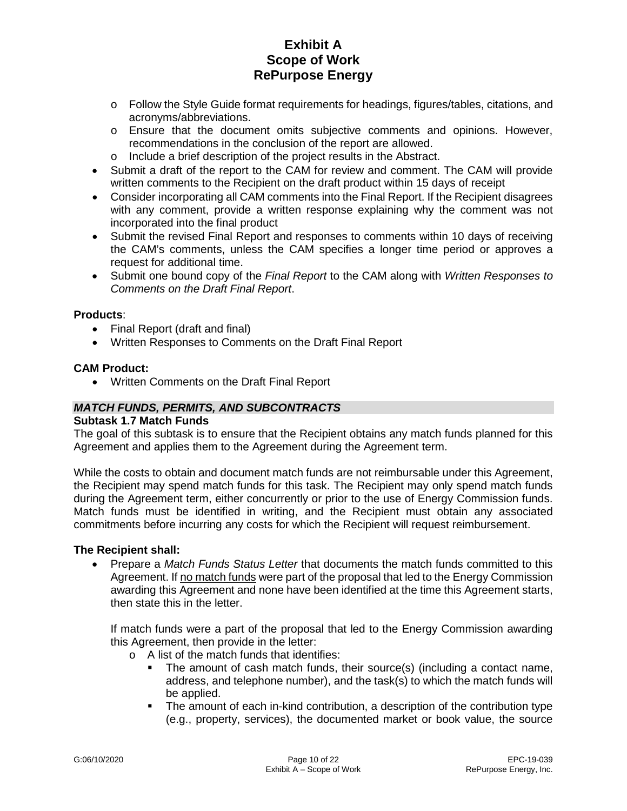- o Follow the Style Guide format requirements for headings, figures/tables, citations, and acronyms/abbreviations.
- o Ensure that the document omits subjective comments and opinions. However, recommendations in the conclusion of the report are allowed.
- o Include a brief description of the project results in the Abstract.
- Submit a draft of the report to the CAM for review and comment. The CAM will provide written comments to the Recipient on the draft product within 15 days of receipt
- Consider incorporating all CAM comments into the Final Report. If the Recipient disagrees with any comment, provide a written response explaining why the comment was not incorporated into the final product
- Submit the revised Final Report and responses to comments within 10 days of receiving the CAM's comments, unless the CAM specifies a longer time period or approves a request for additional time.
- Submit one bound copy of the *Final Report* to the CAM along with *Written Responses to Comments on the Draft Final Report*.

#### **Products**:

- Final Report (draft and final)
- Written Responses to Comments on the Draft Final Report

### **CAM Product:**

• Written Comments on the Draft Final Report

### *MATCH FUNDS, PERMITS, AND SUBCONTRACTS*

#### **Subtask 1.7 Match Funds**

The goal of this subtask is to ensure that the Recipient obtains any match funds planned for this Agreement and applies them to the Agreement during the Agreement term.

While the costs to obtain and document match funds are not reimbursable under this Agreement, the Recipient may spend match funds for this task. The Recipient may only spend match funds during the Agreement term, either concurrently or prior to the use of Energy Commission funds. Match funds must be identified in writing, and the Recipient must obtain any associated commitments before incurring any costs for which the Recipient will request reimbursement.

#### **The Recipient shall:**

• Prepare a *Match Funds Status Letter* that documents the match funds committed to this Agreement. If no match funds were part of the proposal that led to the Energy Commission awarding this Agreement and none have been identified at the time this Agreement starts, then state this in the letter.

If match funds were a part of the proposal that led to the Energy Commission awarding this Agreement, then provide in the letter:

- o A list of the match funds that identifies:
	- The amount of cash match funds, their source(s) (including a contact name, address, and telephone number), and the task(s) to which the match funds will be applied.
	- The amount of each in-kind contribution, a description of the contribution type (e.g., property, services), the documented market or book value, the source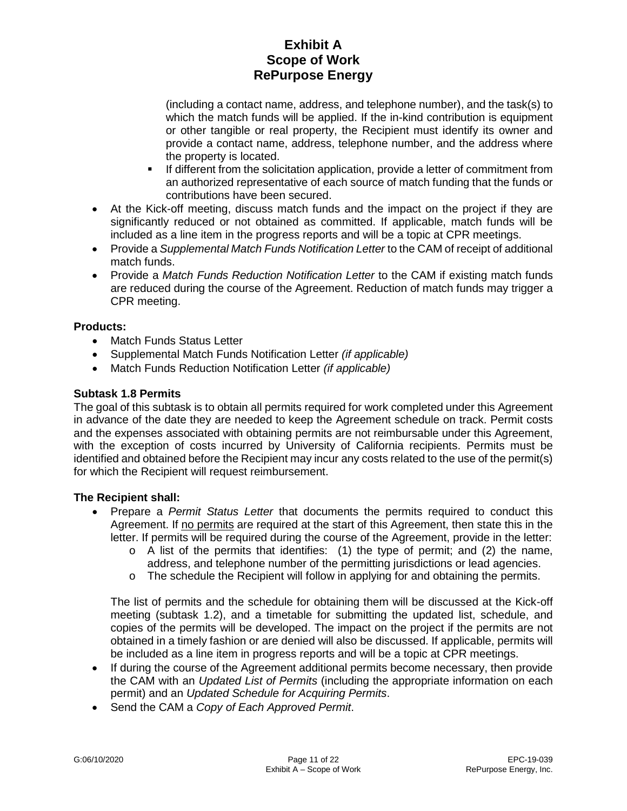(including a contact name, address, and telephone number), and the task(s) to which the match funds will be applied. If the in-kind contribution is equipment or other tangible or real property, the Recipient must identify its owner and provide a contact name, address, telephone number, and the address where the property is located.

- If different from the solicitation application, provide a letter of commitment from an authorized representative of each source of match funding that the funds or contributions have been secured.
- At the Kick-off meeting, discuss match funds and the impact on the project if they are significantly reduced or not obtained as committed. If applicable, match funds will be included as a line item in the progress reports and will be a topic at CPR meetings.
- Provide a *Supplemental Match Funds Notification Letter* to the CAM of receipt of additional match funds.
- Provide a *Match Funds Reduction Notification Letter* to the CAM if existing match funds are reduced during the course of the Agreement. Reduction of match funds may trigger a CPR meeting.

## **Products:**

- Match Funds Status Letter
- Supplemental Match Funds Notification Letter *(if applicable)*
- Match Funds Reduction Notification Letter *(if applicable)*

## **Subtask 1.8 Permits**

The goal of this subtask is to obtain all permits required for work completed under this Agreement in advance of the date they are needed to keep the Agreement schedule on track. Permit costs and the expenses associated with obtaining permits are not reimbursable under this Agreement, with the exception of costs incurred by University of California recipients. Permits must be identified and obtained before the Recipient may incur any costs related to the use of the permit(s) for which the Recipient will request reimbursement.

## **The Recipient shall:**

- Prepare a *Permit Status Letter* that documents the permits required to conduct this Agreement. If no permits are required at the start of this Agreement, then state this in the letter. If permits will be required during the course of the Agreement, provide in the letter:
	- $\circ$  A list of the permits that identifies: (1) the type of permit; and (2) the name, address, and telephone number of the permitting jurisdictions or lead agencies.
	- o The schedule the Recipient will follow in applying for and obtaining the permits.

The list of permits and the schedule for obtaining them will be discussed at the Kick-off meeting (subtask 1.2), and a timetable for submitting the updated list, schedule, and copies of the permits will be developed. The impact on the project if the permits are not obtained in a timely fashion or are denied will also be discussed. If applicable, permits will be included as a line item in progress reports and will be a topic at CPR meetings.

- If during the course of the Agreement additional permits become necessary, then provide the CAM with an *Updated List of Permits* (including the appropriate information on each permit) and an *Updated Schedule for Acquiring Permits*.
- Send the CAM a *Copy of Each Approved Permit*.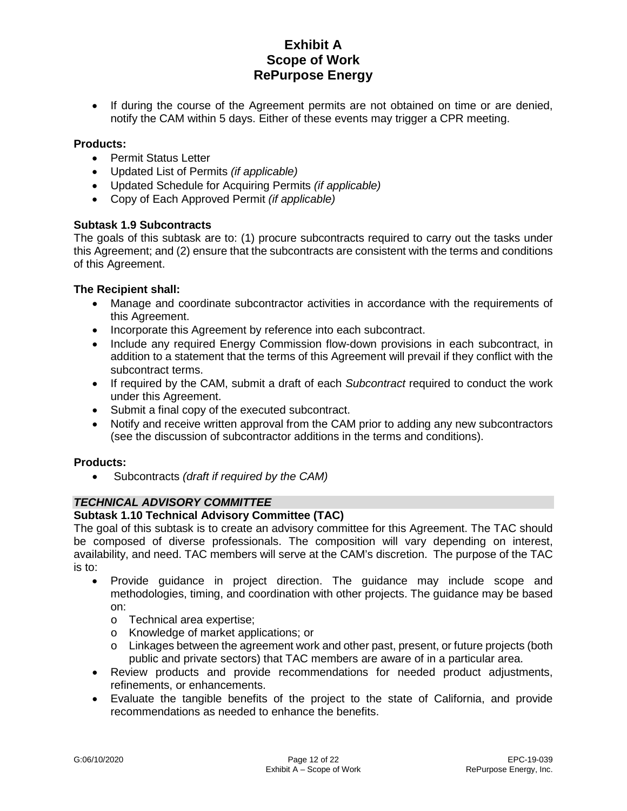• If during the course of the Agreement permits are not obtained on time or are denied, notify the CAM within 5 days. Either of these events may trigger a CPR meeting.

### **Products:**

- Permit Status Letter
- Updated List of Permits *(if applicable)*
- Updated Schedule for Acquiring Permits *(if applicable)*
- Copy of Each Approved Permit *(if applicable)*

### **Subtask 1.9 Subcontracts**

The goals of this subtask are to: (1) procure subcontracts required to carry out the tasks under this Agreement; and (2) ensure that the subcontracts are consistent with the terms and conditions of this Agreement.

### **The Recipient shall:**

- Manage and coordinate subcontractor activities in accordance with the requirements of this Agreement.
- Incorporate this Agreement by reference into each subcontract.
- Include any required Energy Commission flow-down provisions in each subcontract, in addition to a statement that the terms of this Agreement will prevail if they conflict with the subcontract terms.
- If required by the CAM, submit a draft of each *Subcontract* required to conduct the work under this Agreement.
- Submit a final copy of the executed subcontract.
- Notify and receive written approval from the CAM prior to adding any new subcontractors (see the discussion of subcontractor additions in the terms and conditions).

#### **Products:**

• Subcontracts *(draft if required by the CAM)*

## *TECHNICAL ADVISORY COMMITTEE*

#### **Subtask 1.10 Technical Advisory Committee (TAC)**

The goal of this subtask is to create an advisory committee for this Agreement. The TAC should be composed of diverse professionals. The composition will vary depending on interest, availability, and need. TAC members will serve at the CAM's discretion. The purpose of the TAC is to:

- Provide guidance in project direction. The guidance may include scope and methodologies, timing, and coordination with other projects. The guidance may be based on:
	- o Technical area expertise;
	- o Knowledge of market applications; or
	- o Linkages between the agreement work and other past, present, or future projects (both public and private sectors) that TAC members are aware of in a particular area.
- Review products and provide recommendations for needed product adjustments, refinements, or enhancements.
- Evaluate the tangible benefits of the project to the state of California, and provide recommendations as needed to enhance the benefits.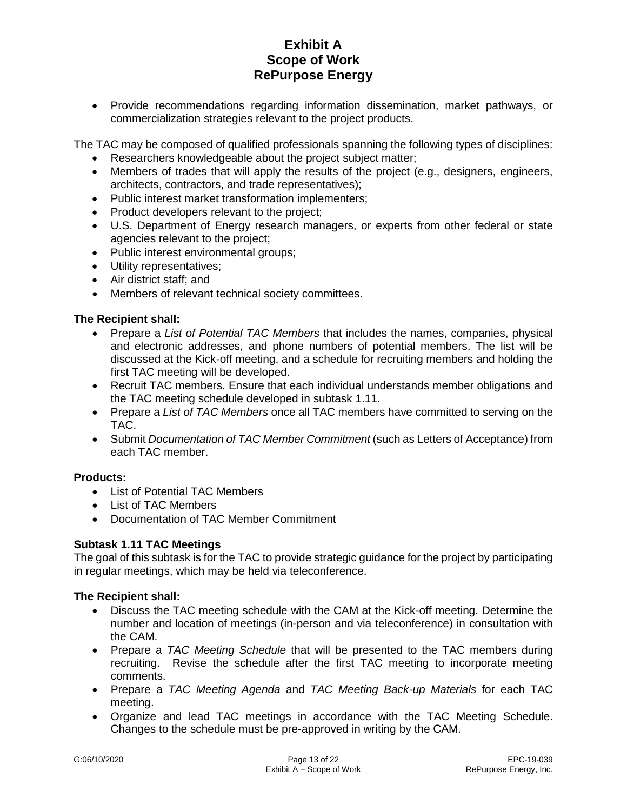• Provide recommendations regarding information dissemination, market pathways, or commercialization strategies relevant to the project products.

The TAC may be composed of qualified professionals spanning the following types of disciplines:

- Researchers knowledgeable about the project subject matter;
- Members of trades that will apply the results of the project (e.g., designers, engineers, architects, contractors, and trade representatives);
- Public interest market transformation implementers;
- Product developers relevant to the project;
- U.S. Department of Energy research managers, or experts from other federal or state agencies relevant to the project;
- Public interest environmental groups;
- Utility representatives;
- Air district staff; and
- Members of relevant technical society committees.

## **The Recipient shall:**

- Prepare a *List of Potential TAC Members* that includes the names, companies, physical and electronic addresses, and phone numbers of potential members. The list will be discussed at the Kick-off meeting, and a schedule for recruiting members and holding the first TAC meeting will be developed.
- Recruit TAC members. Ensure that each individual understands member obligations and the TAC meeting schedule developed in subtask 1.11.
- Prepare a *List of TAC Members* once all TAC members have committed to serving on the TAC.
- Submit *Documentation of TAC Member Commitment* (such as Letters of Acceptance) from each TAC member.

## **Products:**

- List of Potential TAC Members
- List of TAC Members
- Documentation of TAC Member Commitment

## **Subtask 1.11 TAC Meetings**

The goal of this subtask is for the TAC to provide strategic guidance for the project by participating in regular meetings, which may be held via teleconference.

## **The Recipient shall:**

- Discuss the TAC meeting schedule with the CAM at the Kick-off meeting. Determine the number and location of meetings (in-person and via teleconference) in consultation with the CAM.
- Prepare a *TAC Meeting Schedule* that will be presented to the TAC members during recruiting. Revise the schedule after the first TAC meeting to incorporate meeting comments.
- Prepare a *TAC Meeting Agenda* and *TAC Meeting Back-up Materials* for each TAC meeting.
- Organize and lead TAC meetings in accordance with the TAC Meeting Schedule. Changes to the schedule must be pre-approved in writing by the CAM.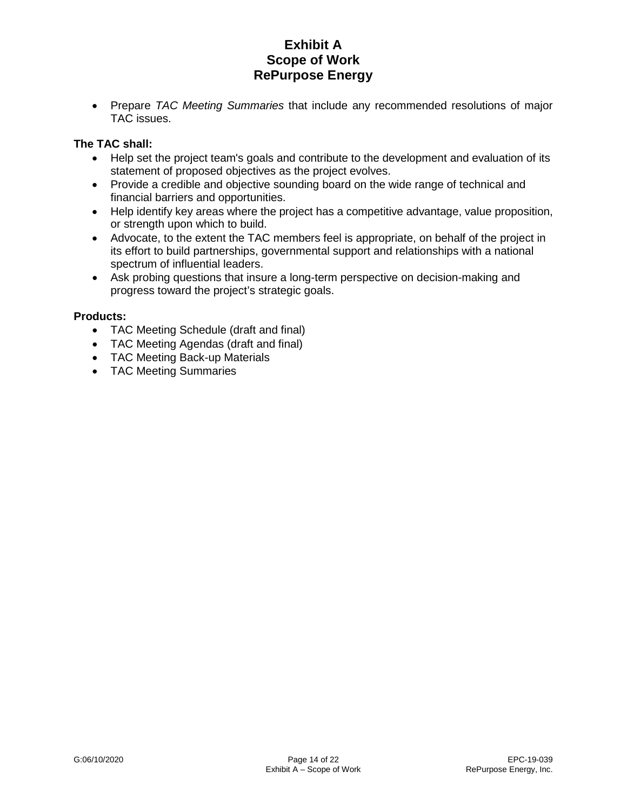• Prepare *TAC Meeting Summaries* that include any recommended resolutions of major TAC issues.

## **The TAC shall:**

- Help set the project team's goals and contribute to the development and evaluation of its statement of proposed objectives as the project evolves.
- Provide a credible and objective sounding board on the wide range of technical and financial barriers and opportunities.
- Help identify key areas where the project has a competitive advantage, value proposition, or strength upon which to build.
- Advocate, to the extent the TAC members feel is appropriate, on behalf of the project in its effort to build partnerships, governmental support and relationships with a national spectrum of influential leaders.
- Ask probing questions that insure a long-term perspective on decision-making and progress toward the project's strategic goals.

## **Products:**

- TAC Meeting Schedule (draft and final)
- TAC Meeting Agendas (draft and final)
- TAC Meeting Back-up Materials
- TAC Meeting Summaries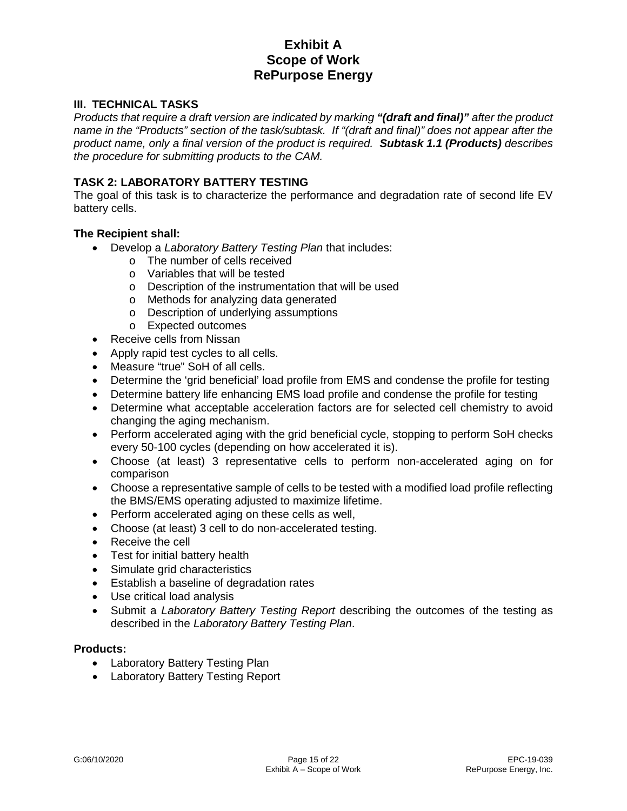## **III. TECHNICAL TASKS**

*Products that require a draft version are indicated by marking "(draft and final)" after the product name in the "Products" section of the task/subtask. If "(draft and final)" does not appear after the product name, only a final version of the product is required. Subtask 1.1 (Products) describes the procedure for submitting products to the CAM.* 

### **TASK 2: LABORATORY BATTERY TESTING**

The goal of this task is to characterize the performance and degradation rate of second life EV battery cells.

#### **The Recipient shall:**

- Develop a *Laboratory Battery Testing Plan* that includes:
	- o The number of cells received
	- o Variables that will be tested
	- o Description of the instrumentation that will be used
	- o Methods for analyzing data generated
	- o Description of underlying assumptions
	- o Expected outcomes
- Receive cells from Nissan
- Apply rapid test cycles to all cells.
- Measure "true" SoH of all cells.
- Determine the 'grid beneficial' load profile from EMS and condense the profile for testing
- Determine battery life enhancing EMS load profile and condense the profile for testing
- Determine what acceptable acceleration factors are for selected cell chemistry to avoid changing the aging mechanism.
- Perform accelerated aging with the grid beneficial cycle, stopping to perform SoH checks every 50-100 cycles (depending on how accelerated it is).
- Choose (at least) 3 representative cells to perform non-accelerated aging on for comparison
- Choose a representative sample of cells to be tested with a modified load profile reflecting the BMS/EMS operating adjusted to maximize lifetime.
- Perform accelerated aging on these cells as well,
- Choose (at least) 3 cell to do non-accelerated testing.
- Receive the cell
- Test for initial battery health
- Simulate grid characteristics
- Establish a baseline of degradation rates
- Use critical load analysis
- Submit a *Laboratory Battery Testing Report* describing the outcomes of the testing as described in the *Laboratory Battery Testing Plan*.

#### **Products:**

- Laboratory Battery Testing Plan
- Laboratory Battery Testing Report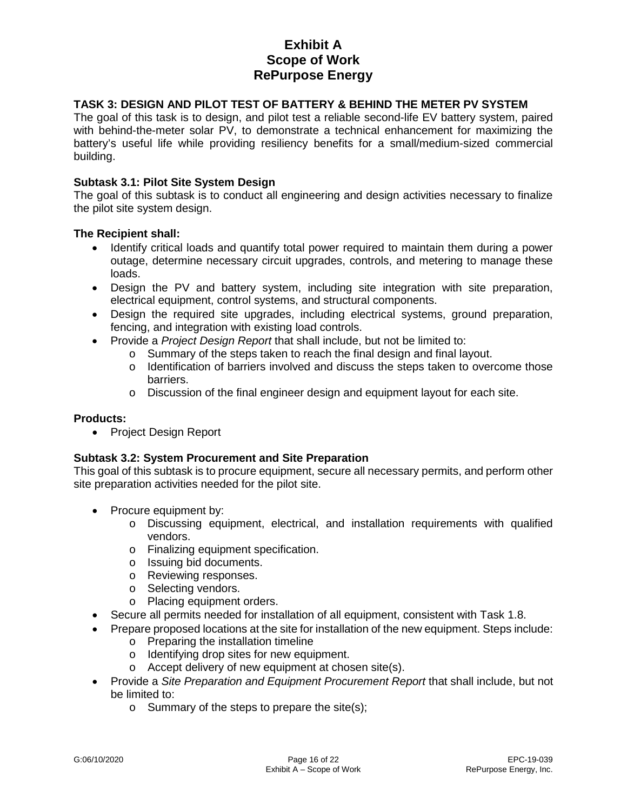### **TASK 3: DESIGN AND PILOT TEST OF BATTERY & BEHIND THE METER PV SYSTEM**

The goal of this task is to design, and pilot test a reliable second-life EV battery system, paired with behind-the-meter solar PV, to demonstrate a technical enhancement for maximizing the battery's useful life while providing resiliency benefits for a small/medium-sized commercial building.

#### **Subtask 3.1: Pilot Site System Design**

The goal of this subtask is to conduct all engineering and design activities necessary to finalize the pilot site system design.

#### **The Recipient shall:**

- Identify critical loads and quantify total power required to maintain them during a power outage, determine necessary circuit upgrades, controls, and metering to manage these loads.
- Design the PV and battery system, including site integration with site preparation, electrical equipment, control systems, and structural components.
- Design the required site upgrades, including electrical systems, ground preparation, fencing, and integration with existing load controls.
- Provide a *Project Design Report* that shall include, but not be limited to:
	- o Summary of the steps taken to reach the final design and final layout.
	- $\circ$  Identification of barriers involved and discuss the steps taken to overcome those barriers.
	- $\circ$  Discussion of the final engineer design and equipment layout for each site.

#### **Products:**

• Project Design Report

#### **Subtask 3.2: System Procurement and Site Preparation**

This goal of this subtask is to procure equipment, secure all necessary permits, and perform other site preparation activities needed for the pilot site.

- Procure equipment by:
	- o Discussing equipment, electrical, and installation requirements with qualified vendors.
	- o Finalizing equipment specification.
	- o Issuing bid documents.
	- o Reviewing responses.
	- o Selecting vendors.
	- o Placing equipment orders.
- Secure all permits needed for installation of all equipment, consistent with Task 1.8.
- Prepare proposed locations at the site for installation of the new equipment. Steps include:
	- o Preparing the installation timeline
	- o Identifying drop sites for new equipment.
	- o Accept delivery of new equipment at chosen site(s).
- Provide a *Site Preparation and Equipment Procurement Report* that shall include, but not be limited to:
	- o Summary of the steps to prepare the site(s);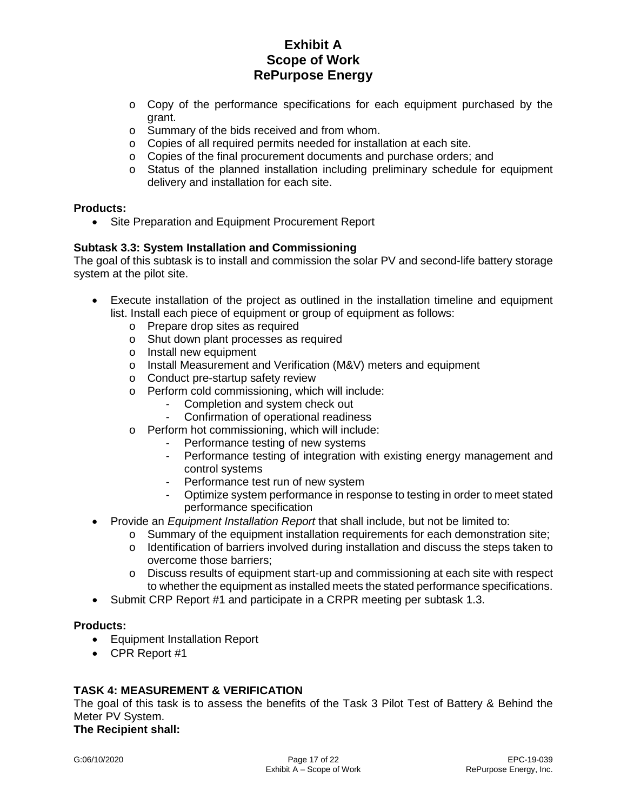- o Copy of the performance specifications for each equipment purchased by the grant.
- o Summary of the bids received and from whom.
- o Copies of all required permits needed for installation at each site.
- o Copies of the final procurement documents and purchase orders; and
- o Status of the planned installation including preliminary schedule for equipment delivery and installation for each site.

### **Products:**

• Site Preparation and Equipment Procurement Report

## **Subtask 3.3: System Installation and Commissioning**

The goal of this subtask is to install and commission the solar PV and second-life battery storage system at the pilot site.

- Execute installation of the project as outlined in the installation timeline and equipment list. Install each piece of equipment or group of equipment as follows:
	- o Prepare drop sites as required
	- o Shut down plant processes as required
	- o Install new equipment
	- o Install Measurement and Verification (M&V) meters and equipment
	- o Conduct pre-startup safety review
	- o Perform cold commissioning, which will include:
		- Completion and system check out
		- Confirmation of operational readiness
	- o Perform hot commissioning, which will include:
		- Performance testing of new systems
		- Performance testing of integration with existing energy management and control systems
		- Performance test run of new system
		- Optimize system performance in response to testing in order to meet stated performance specification
- Provide an *Equipment Installation Report* that shall include, but not be limited to:
	- $\circ$  Summary of the equipment installation requirements for each demonstration site;
		- $\circ$  Identification of barriers involved during installation and discuss the steps taken to overcome those barriers;
	- $\circ$  Discuss results of equipment start-up and commissioning at each site with respect to whether the equipment as installed meets the stated performance specifications.
- Submit CRP Report #1 and participate in a CRPR meeting per subtask 1.3.

#### **Products:**

- Equipment Installation Report
- CPR Report #1

## **TASK 4: MEASUREMENT & VERIFICATION**

The goal of this task is to assess the benefits of the Task 3 Pilot Test of Battery & Behind the Meter PV System.

### **The Recipient shall:**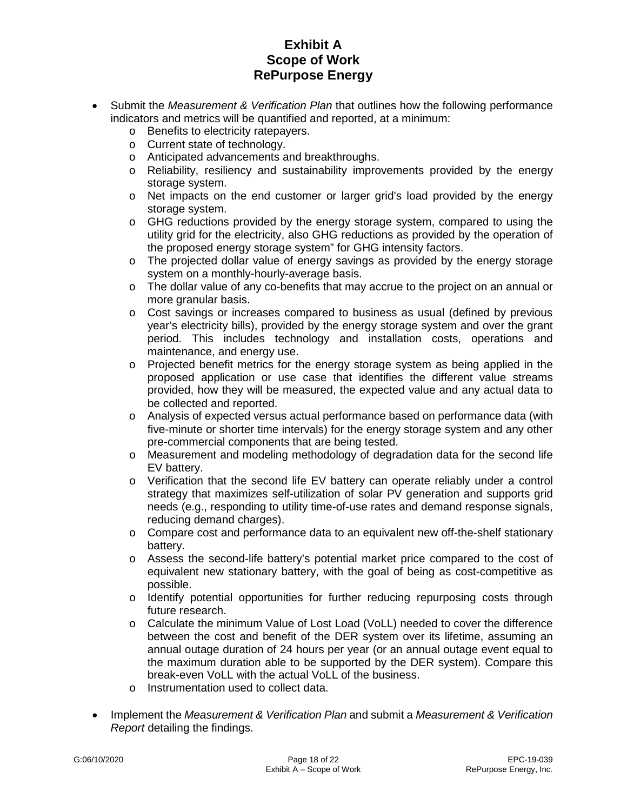- Submit the *Measurement & Verification Plan* that outlines how the following performance indicators and metrics will be quantified and reported, at a minimum:
	- o Benefits to electricity ratepayers.
	- o Current state of technology.
	- o Anticipated advancements and breakthroughs.
	- o Reliability, resiliency and sustainability improvements provided by the energy storage system.
	- o Net impacts on the end customer or larger grid's load provided by the energy storage system.
	- $\circ$  GHG reductions provided by the energy storage system, compared to using the utility grid for the electricity, also GHG reductions as provided by the operation of the proposed energy storage system" for GHG intensity factors.
	- o The projected dollar value of energy savings as provided by the energy storage system on a monthly-hourly-average basis.
	- o The dollar value of any co-benefits that may accrue to the project on an annual or more granular basis.
	- $\circ$  Cost savings or increases compared to business as usual (defined by previous year's electricity bills), provided by the energy storage system and over the grant period. This includes technology and installation costs, operations and maintenance, and energy use.
	- o Projected benefit metrics for the energy storage system as being applied in the proposed application or use case that identifies the different value streams provided, how they will be measured, the expected value and any actual data to be collected and reported.
	- o Analysis of expected versus actual performance based on performance data (with five-minute or shorter time intervals) for the energy storage system and any other pre-commercial components that are being tested.
	- o Measurement and modeling methodology of degradation data for the second life EV battery.
	- o Verification that the second life EV battery can operate reliably under a control strategy that maximizes self-utilization of solar PV generation and supports grid needs (e.g., responding to utility time-of-use rates and demand response signals, reducing demand charges).
	- $\circ$  Compare cost and performance data to an equivalent new off-the-shelf stationary battery.
	- o Assess the second-life battery's potential market price compared to the cost of equivalent new stationary battery, with the goal of being as cost-competitive as possible.
	- o Identify potential opportunities for further reducing repurposing costs through future research.
	- o Calculate the minimum Value of Lost Load (VoLL) needed to cover the difference between the cost and benefit of the DER system over its lifetime, assuming an annual outage duration of 24 hours per year (or an annual outage event equal to the maximum duration able to be supported by the DER system). Compare this break-even VoLL with the actual VoLL of the business.
	- o Instrumentation used to collect data.
- Implement the *Measurement & Verification Plan* and submit a *Measurement & Verification Report* detailing the findings.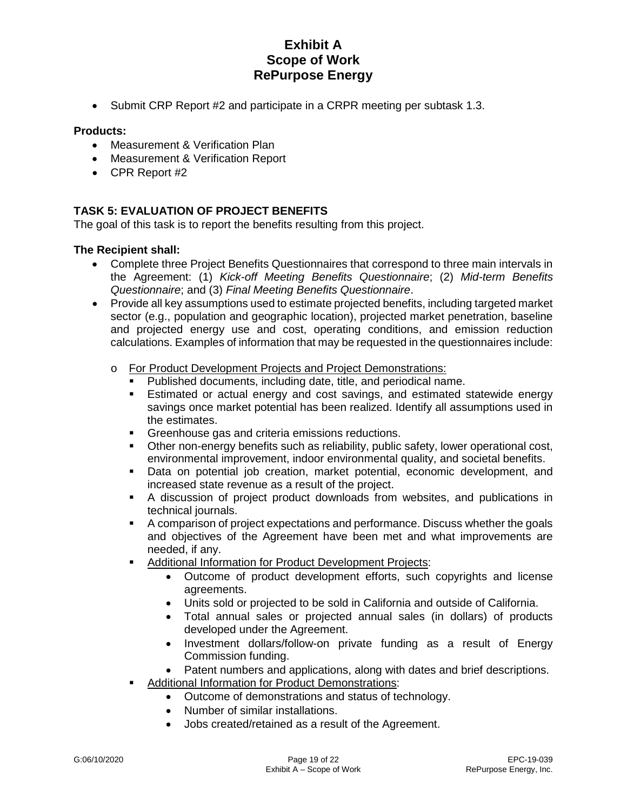• Submit CRP Report #2 and participate in a CRPR meeting per subtask 1.3.

### **Products:**

- Measurement & Verification Plan
- Measurement & Verification Report
- CPR Report #2

## **TASK 5: EVALUATION OF PROJECT BENEFITS**

The goal of this task is to report the benefits resulting from this project.

### **The Recipient shall:**

- Complete three Project Benefits Questionnaires that correspond to three main intervals in the Agreement: (1) *Kick-off Meeting Benefits Questionnaire*; (2) *Mid-term Benefits Questionnaire*; and (3) *Final Meeting Benefits Questionnaire*.
- Provide all key assumptions used to estimate projected benefits, including targeted market sector (e.g., population and geographic location), projected market penetration, baseline and projected energy use and cost, operating conditions, and emission reduction calculations. Examples of information that may be requested in the questionnaires include:
	- o For Product Development Projects and Project Demonstrations:
		- Published documents, including date, title, and periodical name.
		- Estimated or actual energy and cost savings, and estimated statewide energy savings once market potential has been realized. Identify all assumptions used in the estimates.
		- **Greenhouse gas and criteria emissions reductions.**
		- Other non-energy benefits such as reliability, public safety, lower operational cost, environmental improvement, indoor environmental quality, and societal benefits.
		- Data on potential job creation, market potential, economic development, and increased state revenue as a result of the project.
		- A discussion of project product downloads from websites, and publications in technical journals.
		- A comparison of project expectations and performance. Discuss whether the goals and objectives of the Agreement have been met and what improvements are needed, if any.
		- Additional Information for Product Development Projects:
			- Outcome of product development efforts, such copyrights and license agreements.
			- Units sold or projected to be sold in California and outside of California.
			- Total annual sales or projected annual sales (in dollars) of products developed under the Agreement.
			- Investment dollars/follow-on private funding as a result of Energy Commission funding.
			- Patent numbers and applications, along with dates and brief descriptions.
		- Additional Information for Product Demonstrations:
			- Outcome of demonstrations and status of technology.
			- Number of similar installations.
			- Jobs created/retained as a result of the Agreement.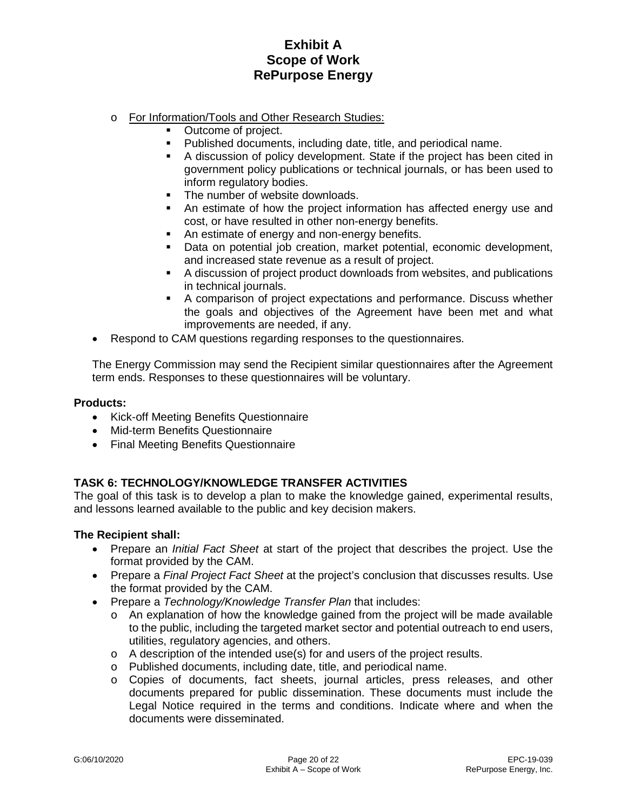- o For Information/Tools and Other Research Studies:
	- Outcome of project.
	- Published documents, including date, title, and periodical name.
	- A discussion of policy development. State if the project has been cited in government policy publications or technical journals, or has been used to inform regulatory bodies.
	- The number of website downloads.
	- An estimate of how the project information has affected energy use and cost, or have resulted in other non-energy benefits.
	- An estimate of energy and non-energy benefits.
	- Data on potential job creation, market potential, economic development, and increased state revenue as a result of project.
	- A discussion of project product downloads from websites, and publications in technical journals.
	- A comparison of project expectations and performance. Discuss whether the goals and objectives of the Agreement have been met and what improvements are needed, if any.
- Respond to CAM questions regarding responses to the questionnaires.

The Energy Commission may send the Recipient similar questionnaires after the Agreement term ends. Responses to these questionnaires will be voluntary.

#### **Products:**

- Kick-off Meeting Benefits Questionnaire
- Mid-term Benefits Questionnaire
- Final Meeting Benefits Questionnaire

## **TASK 6: TECHNOLOGY/KNOWLEDGE TRANSFER ACTIVITIES**

The goal of this task is to develop a plan to make the knowledge gained, experimental results, and lessons learned available to the public and key decision makers.

### **The Recipient shall:**

- Prepare an *Initial Fact Sheet* at start of the project that describes the project. Use the format provided by the CAM.
- Prepare a *Final Project Fact Sheet* at the project's conclusion that discusses results. Use the format provided by the CAM.
- Prepare a *Technology/Knowledge Transfer Plan* that includes:
	- $\circ$  An explanation of how the knowledge gained from the project will be made available to the public, including the targeted market sector and potential outreach to end users, utilities, regulatory agencies, and others.
	- o A description of the intended use(s) for and users of the project results.
	- o Published documents, including date, title, and periodical name.
	- o Copies of documents, fact sheets, journal articles, press releases, and other documents prepared for public dissemination. These documents must include the Legal Notice required in the terms and conditions. Indicate where and when the documents were disseminated.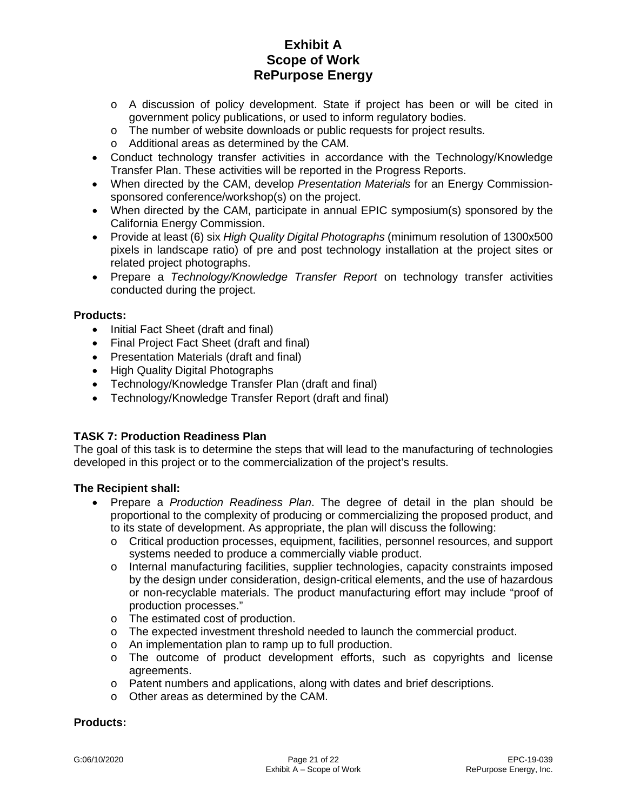- o A discussion of policy development. State if project has been or will be cited in government policy publications, or used to inform regulatory bodies.
- o The number of website downloads or public requests for project results.
- o Additional areas as determined by the CAM.
- Conduct technology transfer activities in accordance with the Technology/Knowledge Transfer Plan. These activities will be reported in the Progress Reports.
- When directed by the CAM, develop *Presentation Materials* for an Energy Commissionsponsored conference/workshop(s) on the project.
- When directed by the CAM, participate in annual EPIC symposium(s) sponsored by the California Energy Commission.
- Provide at least (6) six *High Quality Digital Photographs* (minimum resolution of 1300x500 pixels in landscape ratio) of pre and post technology installation at the project sites or related project photographs.
- Prepare a *Technology/Knowledge Transfer Report* on technology transfer activities conducted during the project.

## **Products:**

- Initial Fact Sheet (draft and final)
- Final Project Fact Sheet (draft and final)
- Presentation Materials (draft and final)
- High Quality Digital Photographs
- Technology/Knowledge Transfer Plan (draft and final)
- Technology/Knowledge Transfer Report (draft and final)

## **TASK 7: Production Readiness Plan**

The goal of this task is to determine the steps that will lead to the manufacturing of technologies developed in this project or to the commercialization of the project's results.

## **The Recipient shall:**

- Prepare a *Production Readiness Plan*. The degree of detail in the plan should be proportional to the complexity of producing or commercializing the proposed product, and to its state of development. As appropriate, the plan will discuss the following:
	- o Critical production processes, equipment, facilities, personnel resources, and support systems needed to produce a commercially viable product.
	- o Internal manufacturing facilities, supplier technologies, capacity constraints imposed by the design under consideration, design-critical elements, and the use of hazardous or non-recyclable materials. The product manufacturing effort may include "proof of production processes."
	- o The estimated cost of production.<br>
	o The expected investment threshol
	- The expected investment threshold needed to launch the commercial product.
	- o An implementation plan to ramp up to full production.
	- o The outcome of product development efforts, such as copyrights and license agreements.
	- o Patent numbers and applications, along with dates and brief descriptions.
	- o Other areas as determined by the CAM.

#### **Products:**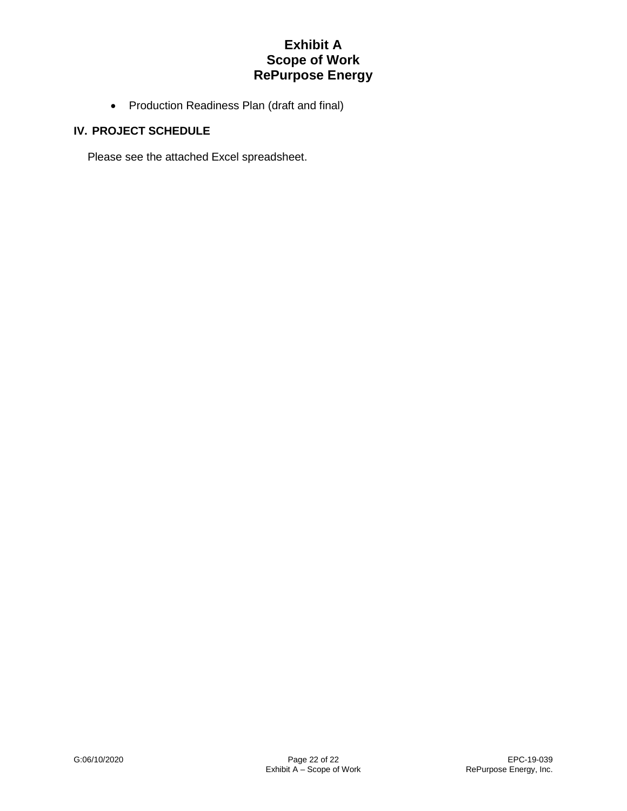• Production Readiness Plan (draft and final)

## **IV. PROJECT SCHEDULE**

Please see the attached Excel spreadsheet.